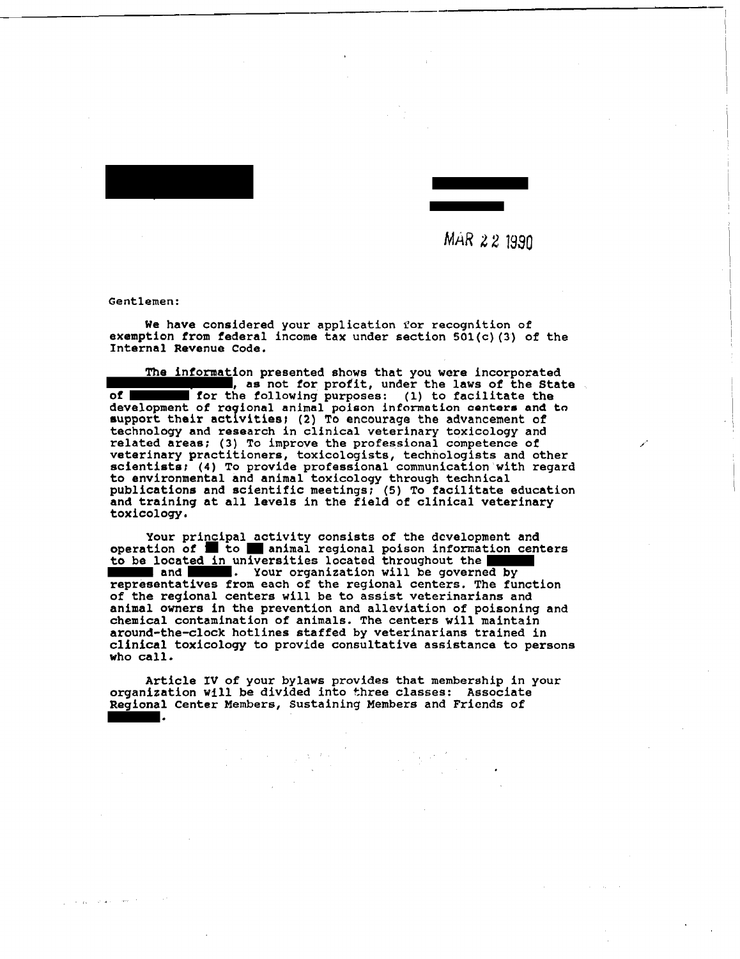MAR 22 1990

Gentlemen:

and the state of the state

We have considered your application for recognition of exemption from federal income tax under section  $501(c)$  (3) of the Internal Revenue Code.

The information presented shows that you were incorporated , as not for profit, under the laws of the State of for the following purposes: (1) to facilitate the<br>development of regional animal poison information centers and to<br>support their activities: (2) To encourage the advancement of technology and research in clinical veterinary toxicology and related areas: (3) To improve the professional competence of veterinary practitioners, toxicologists, technologists and other scientists; (4) To provide professional communication with regard to environmental and animal toxicology through technical publications and scientific meetings; (5) To facilitate education and training at all levels in the field of clinical veterinary toxicology.

Your principal activity consists of the development and operation of  $\blacksquare$  to  $\blacksquare$  animal regional poison information centers to be located in universities located throughout the . Your organization will be governed by and and representatives from each of the regional centers. The function of the regional centers will be to assist veterinarians and animal owners in the prevention and alleviation of poisoning and chemical contamination of animals. The centers will maintain around-the-clock hotlines staffed by veterinarians trained in clinical toxicology to provide consultative assistance to persons who call.

Article IV of your bylaws provides that membership in your organization will be divided into three classes: Associate Regional Center Members, Sustaining Members and Friends of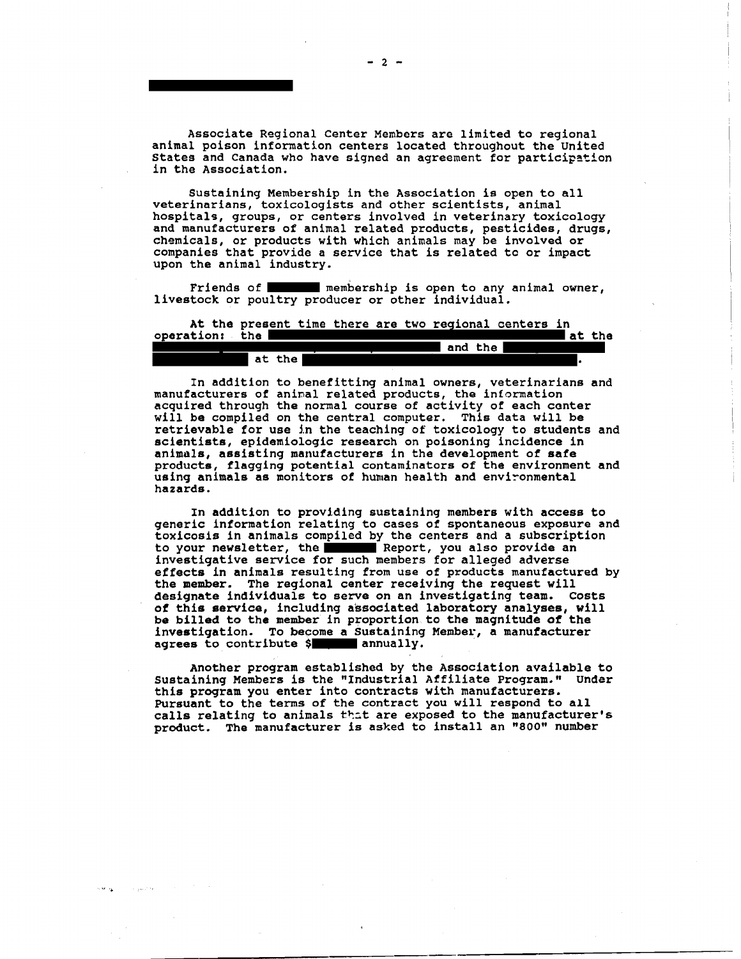Associate Regional Center Members are limited to regional animal poison information centers located throughout the United States and Canada who have signed an agreement for participation in the Association.

Sustaining Membership in the Association is open to all veterinarians, toxicologists and other scientists, animal hospitals, groups, or centers involved in veterinary toxicology and manufacturers of animal related products, pesticides, drugs, chemicals, or products with which animals may be involved or companies that provide a service that is related to or impact upon the animal industry.

Friends of **the membership** is open to any animal owner, livestock or poultry producer or other individual.

|                | At the present time there are two regional centers in |  |  |         |  |         |
|----------------|-------------------------------------------------------|--|--|---------|--|---------|
| operation: the |                                                       |  |  |         |  | lat the |
|                |                                                       |  |  | and the |  |         |
|                | at the                                                |  |  |         |  |         |

In addition to benefitting animal owners, veterinarians and manufacturers of animal related products, the information acquired through the normal course of activity of each center will be compiled on the central computer. This data will be retrievable for use in the teaching of toxicology to students and scientists, epidemiologic research on poisoning incidence in animals, assisting manufacturers in the development of safe products, flagging potential contaminators of the environment and using animals as monitors of human health and environmental hazards.

In addition to providing sustaining members with access to<br>generic information relating to cases of spontaneous exposure and toxicosis in animals compiled by the centers and a subscription<br>to your newsletter, the **newsletter** Report, you also provide an investigative service for such members for alleged adverse effects in animals resulting from use of products manufactured by the member. The regional center receiving the request will designate individuals to serve on an investigating team. Costs of this service, including associated laboratory analyses, will be billed to the member in proportion to the magnitude of the investigation. To become a Sustaining Member, a manufacturer<br>agrees to contribute \$ annually.

Another program established by the Association available to Sustaining Members is the "Industrial Affiliate Program." Under this program you enter into contracts with manufacturers. Pursuant to the terms of the contract you will respond to all calls relating to animals that are exposed to the manufacturer's product. The manufacturer is asked to install an "800" number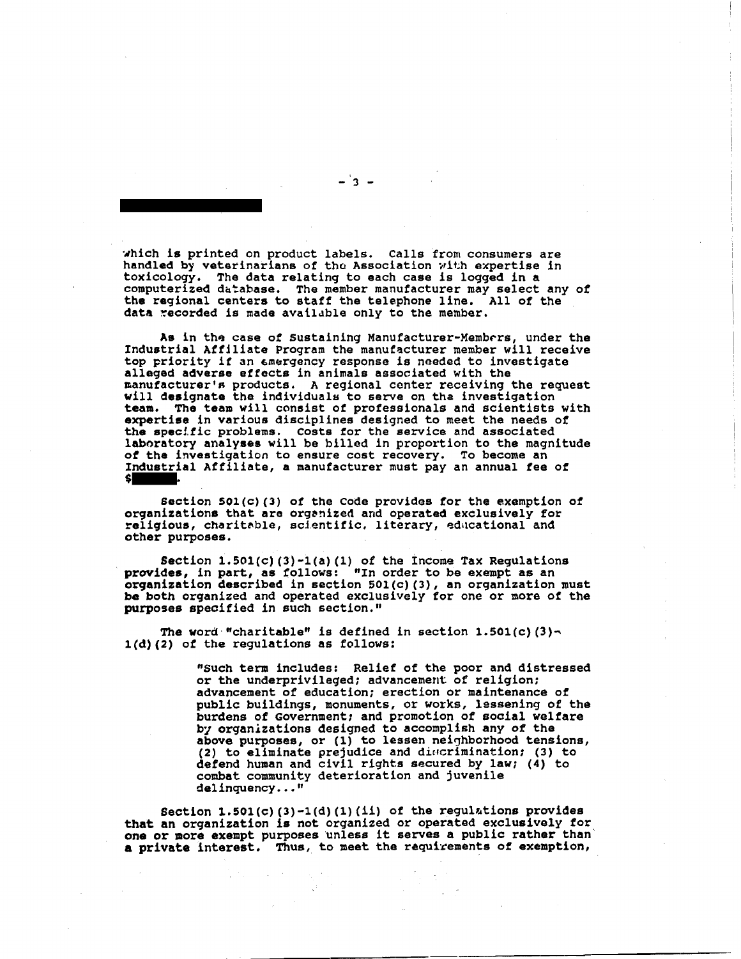**rhich is printed on product labels. Calls from consumers are handled by veterinarians of tho Association irlth expertise in toxicology. The data relating to each case is logged in a computerized dhtabase. The member manufacturer may select any of the regional centers to staff the telephone line. All of the data recorded is made available only to the member.** 

**As in the case of Sustaining Manufacturer-Kembcrs, under the Industrial Affiliate Program the manufacturer member will receive top priority if an dmsrgency response is needed to investigate allaged adverse effects in animals associated with the manufacturerls products. A regional canter receiving the request will designate the individuals to serve on tha investigation team. The team will consist of professionals and scientists with expertise in various disciplines designed to meet the needs of the specf.fic problems. Coste for the service and associated laboratory analyaes will be billed in proportion to the magnitude of the investigation to ensure cost recovery. To become an**  Industrial Affiliate, a manufacturer must pay an annual fee of **\$\*\*\*\*\*\*\*** 

**Section 501(c)(3) of the code provides for the exemption of organizations that are organized and operated exclusively for religious, charitable, scjentific, literary, ediicational and other purposes.** 

**Section 1.501(~)(3)-l(a)(l) of the Indome Tax Regulations provides, in part, as follows: "In order to be exempt as an organization described in section 501(c)(3), an organization must be both organized and operated exclusively for one or more of the**  purposes specified in such section."

The word "charitable" is defined in section 1.501(c)(3)**l(dj(2) of the regulations as follows:** 

> **"Such term includes: Relief of the poor and distressed or the underprivileged; advancement. of religion; advancement of education; erection or maintenance of public buildings, monuments, or works, lessening of the burdens of Government; and promotion of social welfare by organizations designed to accomplish any of the above purposes, or (1) to lessen neighborhood tensions,**  (2) to eliminate prejudice and discrimination; (3) to **defend human and civil rights secured by law; (4) to combat community deterioration and juvenile delinquency.** . . **l1**

**Section 1.501 (c) (3) -1 (d) (1) (ii) of the regulations provide8 that an organization is not organized or operated exclusively for one or more exempt purposes unless it serves a public rather than' a private interest. Thus, to meet the requirements of exemption,** 

**\*\*\*\*\*\*\*\*\*\*\*\*\*\*\*\*\*\*\***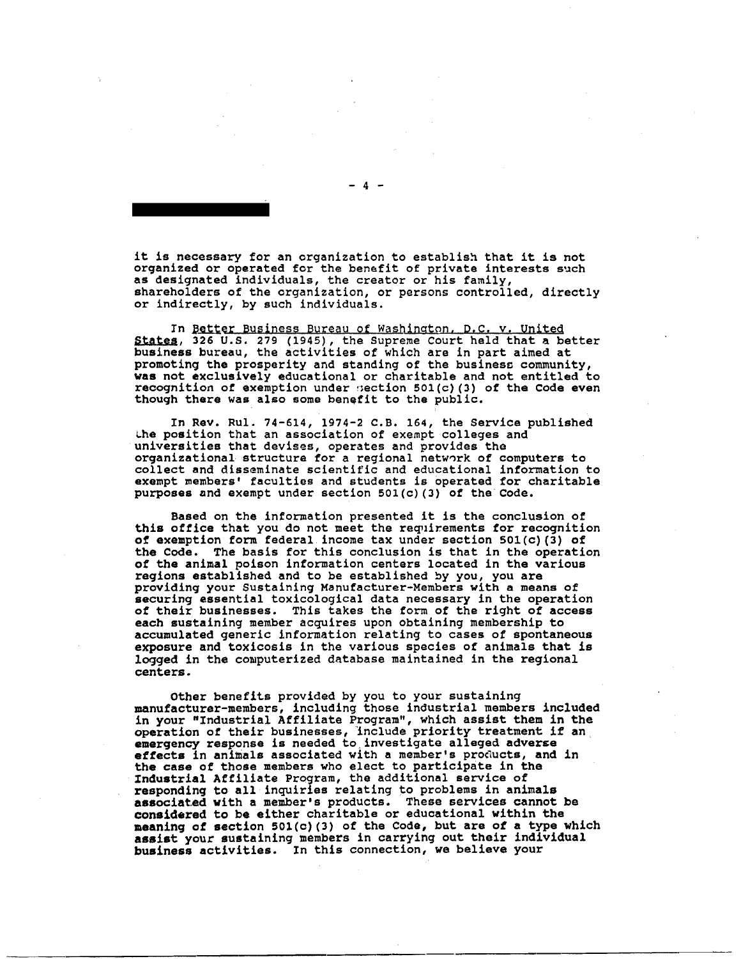**it is necessary for an organization to establish that it is not organized or operated for the benefit of private interests ssch as designated individuals, the creator or his family, shareholders of the organization, or persons controlled, directly or indirectly, by such individuals.** 

In Better Business Bureau of Washington, D.C. v. United **States, 326 U.S. 279 (1945), the Supreme Court held that a better business bureau, the activities of which are in part aimed at promoting the prosperity and standing of the businesc community, was not exclusively educational or charitable and not entitled to recognition of exemption under 4;ection 501(c)(3) of the Code even though there was also some bengfit to the public.** 

**In Rev. Rul. 74-614, 1974-2 C.B. 164, the Service published ihe position that an association of exempt colleges and universities that devises, operates and provides the organizational structure for a regional netwqrk of computers to collect and disseminate scientific and educational infonnation to**  exempt members' faculties and students is operated for charitable **purposes and exempt under section 501(c)(3) of the Code.** 

**Based on the infonnation presented it is the conclusion of this office that you do not meet the requirements for recognition of exemption form federal income tax under section 501(c)(3) of the Code. The basis for this conclusion is that in the operation of the animal poison information centers located in the various regions established and to be established by you, you are providing your Sustaining Manufacturer-Members with a means of securing assential toxicological data necessary in the operation of their businesses. This takes the form of the right of access each sustaining member acquires upon obtaining membership to accumulated generic information relating to cases of spontaneous exposure and toxicosis in the various species of animals that is logged in the couputerized database maintained in the regional centers.** 

**Other benefits provided by you to your sustaining manufacturer-members, including those industrial members included**  in your "Industrial Affiliate Program", which assist them in the **operation of their businesses, include priority treatment if an emergency response is needed to investigate alleged adverse affects in aniinale associated with a member's proclucts, and in the case of those members who elect to participate in the**  Industrial Affiliate Program, the additional service of responding to all inquiries relating to problems in animals associated with a member's products. These services cannot be **considered to be either charitable or educational within the meaning ot section 501(c)(3) of the Code, but are of a type which assist your sustaining members in carrying out their individual business activities. In this connection, we believe your** 

**\*\*\*\*\*\*\*\*\*\*\*\*\*\*\*\*\*\*\***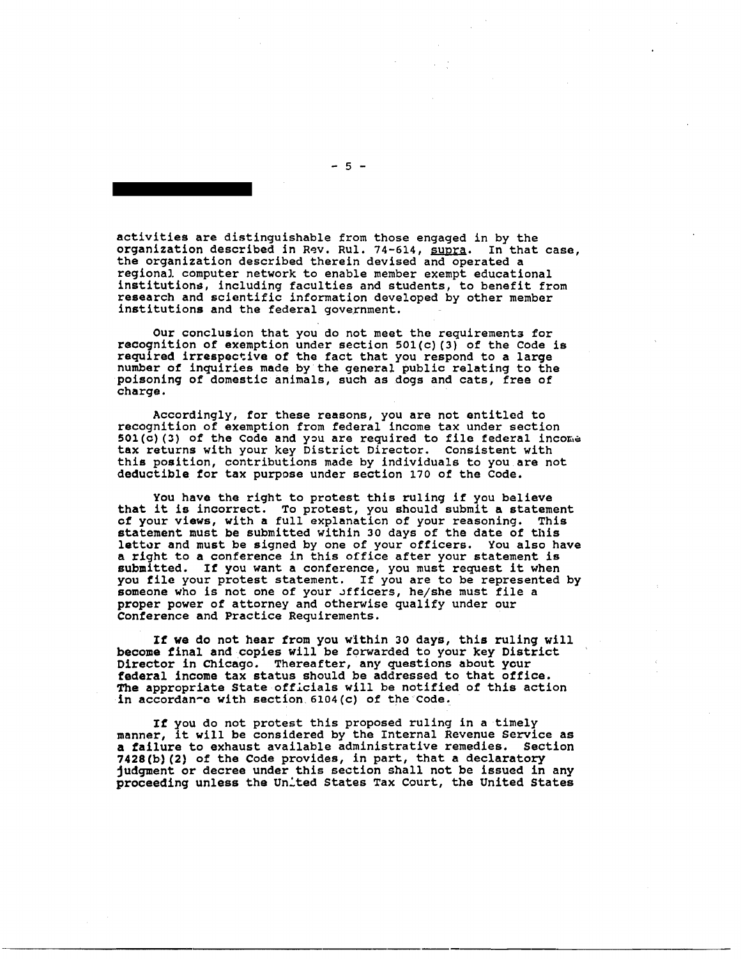activities are distinguishable from those engaged in by the organization described in Rev. Rul. 74-614, supra. In that case, the organization described therein devised and operated a regional. computer network to enable member exempt educational institutions, including faculties and students, to benefit from research and scientific information developed by other member institutions and the federal government.

Our conclusion that you do not meet the requirements for recognition of exemption under section  $501(c)$  (3) of the Code is required irrespective of the fact that you respond to a large number of inquiries made by the general public relating to the poisoning of domestic animals, such as dogs and cats, free of charge.

Accordingly, for these reasons, you are not entitled to recognition of exemption from federal income tax under section  $501(c)$  (3) of the Code and you are required to file federal income tax returns with your key District Director. Consistent with this position, contributions made by individuals to you are not deductible for tax purpose under section 170 of the Code.

You have the right to protest this ruling if you believe that it is incorrect. To protest, you should submit a statement of your views, with a full explanation of your reasoning. This statement must be submitted within 30 days of the date of this lettar and must be signed by one of your officers. You also have a right to a conference in this office after your statement is submitted. If you want a conference, you must request it when you file your protest statement. If you are to be represented by someone who is not one of your officers, he/she must file a proper power of attorney and otherwise qualify under our Conference and Practice Requirements.

If **we** do not hear from you within 30 days, this ruling will become final and copies will be forwarded to your key District Director in Chicago. Thereafter, any questions about your federal income tax status should be addressed to that office. The appropriate State officials will be notified of this action in accordan-e with section 6104(c) of the Code.

If you do not protest this proposed ruling in a timely manner, it will be considered by the Internal Revenue Service as a failure to exhaust available administrative remedies, Section 7428(b](2] of the Code provides, in part, that a declaratory judgment or decree under this section shall not be issued in any proceeding unless the United States Tax Court, the United States

 $-5 -$ 

\*\*\*\*\*\*\*\*\*\*\*\*\*\*\*\*